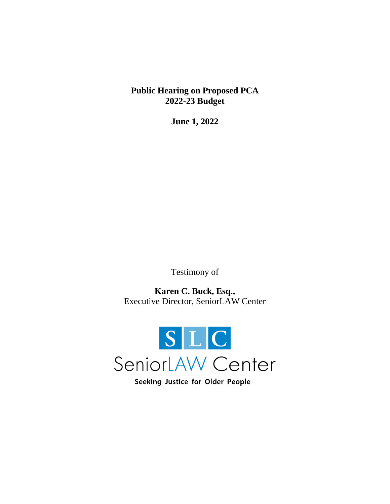**Public Hearing on Proposed PCA 2022-23 Budget**

**June 1, 2022**

Testimony of

**Karen C. Buck, Esq.,**  Executive Director, SeniorLAW Center



Seeking Justice for Older People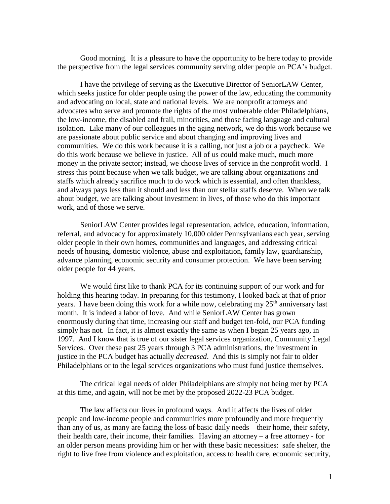Good morning. It is a pleasure to have the opportunity to be here today to provide the perspective from the legal services community serving older people on PCA's budget.

I have the privilege of serving as the Executive Director of SeniorLAW Center, which seeks justice for older people using the power of the law, educating the community and advocating on local, state and national levels. We are nonprofit attorneys and advocates who serve and promote the rights of the most vulnerable older Philadelphians, the low-income, the disabled and frail, minorities, and those facing language and cultural isolation. Like many of our colleagues in the aging network, we do this work because we are passionate about public service and about changing and improving lives and communities. We do this work because it is a calling, not just a job or a paycheck. We do this work because we believe in justice. All of us could make much, much more money in the private sector; instead, we choose lives of service in the nonprofit world. I stress this point because when we talk budget, we are talking about organizations and staffs which already sacrifice much to do work which is essential, and often thankless, and always pays less than it should and less than our stellar staffs deserve. When we talk about budget, we are talking about investment in lives, of those who do this important work, and of those we serve.

SeniorLAW Center provides legal representation, advice, education, information, referral, and advocacy for approximately 10,000 older Pennsylvanians each year, serving older people in their own homes, communities and languages, and addressing critical needs of housing, domestic violence, abuse and exploitation, family law, guardianship, advance planning, economic security and consumer protection. We have been serving older people for 44 years.

We would first like to thank PCA for its continuing support of our work and for holding this hearing today. In preparing for this testimony, I looked back at that of prior years. I have been doing this work for a while now, celebrating my  $25<sup>th</sup>$  anniversary last month. It is indeed a labor of love. And while SeniorLAW Center has grown enormously during that time, increasing our staff and budget ten-fold, our PCA funding simply has not. In fact, it is almost exactly the same as when I began 25 years ago, in 1997. And I know that is true of our sister legal services organization, Community Legal Services. Over these past 25 years through 3 PCA administrations, the investment in justice in the PCA budget has actually *decreased*. And this is simply not fair to older Philadelphians or to the legal services organizations who must fund justice themselves.

The critical legal needs of older Philadelphians are simply not being met by PCA at this time, and again, will not be met by the proposed 2022-23 PCA budget.

The law affects our lives in profound ways. And it affects the lives of older people and low-income people and communities more profoundly and more frequently than any of us, as many are facing the loss of basic daily needs – their home, their safety, their health care, their income, their families. Having an attorney – a free attorney - for an older person means providing him or her with these basic necessities: safe shelter, the right to live free from violence and exploitation, access to health care, economic security,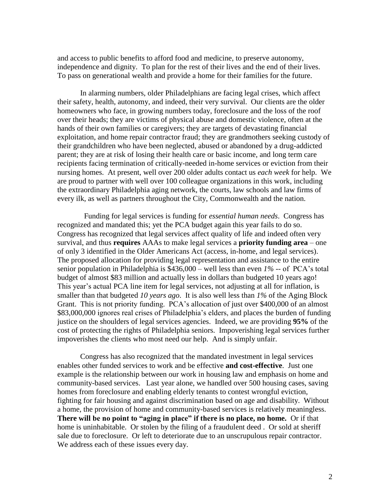and access to public benefits to afford food and medicine, to preserve autonomy, independence and dignity. To plan for the rest of their lives and the end of their lives. To pass on generational wealth and provide a home for their families for the future.

In alarming numbers, older Philadelphians are facing legal crises, which affect their safety, health, autonomy, and indeed, their very survival. Our clients are the older homeowners who face, in growing numbers today, foreclosure and the loss of the roof over their heads; they are victims of physical abuse and domestic violence, often at the hands of their own families or caregivers; they are targets of devastating financial exploitation, and home repair contractor fraud; they are grandmothers seeking custody of their grandchildren who have been neglected, abused or abandoned by a drug-addicted parent; they are at risk of losing their health care or basic income, and long term care recipients facing termination of critically-needed in-home services or eviction from their nursing homes. At present, well over 200 older adults contact us *each week* for help. We are proud to partner with well over 100 colleague organizations in this work, including the extraordinary Philadelphia aging network, the courts, law schools and law firms of every ilk, as well as partners throughout the City, Commonwealth and the nation.

 Funding for legal services is funding for *essential human needs*. Congress has recognized and mandated this; yet the PCA budget again this year fails to do so. Congress has recognized that legal services affect quality of life and indeed often very survival, and thus **requires** AAAs to make legal services a **priority funding area** – one of only 3 identified in the Older Americans Act (access, in-home, and legal services). The proposed allocation for providing legal representation and assistance to the entire senior population in Philadelphia is \$436,000 – well less than even *1%* -- of PCA's total budget of almost \$83 million and actually less in dollars than budgeted 10 years ago! This year's actual PCA line item for legal services, not adjusting at all for inflation, is smaller than that budgeted *10 years ago*. It is also well less than *1%* of the Aging Block Grant. This is not priority funding. PCA's allocation of just over \$400,000 of an almost \$83,000,000 ignores real crises of Philadelphia's elders, and places the burden of funding justice on the shoulders of legal services agencies. Indeed, we are providing **95%** of the cost of protecting the rights of Philadelphia seniors. Impoverishing legal services further impoverishes the clients who most need our help. And is simply unfair.

Congress has also recognized that the mandated investment in legal services enables other funded services to work and be effective **and cost-effective**. Just one example is the relationship between our work in housing law and emphasis on home and community-based services. Last year alone, we handled over 500 housing cases, saving homes from foreclosure and enabling elderly tenants to contest wrongful eviction, fighting for fair housing and against discrimination based on age and disability. Without a home, the provision of home and community-based services is relatively meaningless. **There will be no point to "aging in place" if there is no place, no home.** Or if that home is uninhabitable. Or stolen by the filing of a fraudulent deed . Or sold at sheriff sale due to foreclosure. Or left to deteriorate due to an unscrupulous repair contractor. We address each of these issues every day.